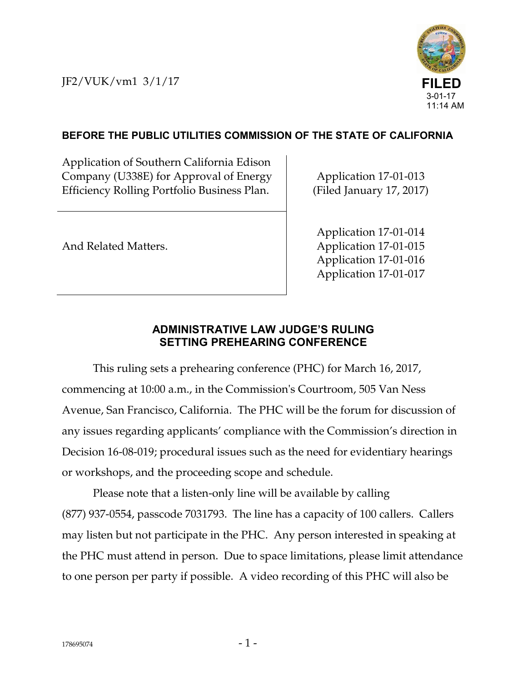JF2/VUK/vm1 3/1/17



## **BEFORE THE PUBLIC UTILITIES COMMISSION OF THE STATE OF CALIFORNIA**

Application of Southern California Edison Company (U338E) for Approval of Energy Efficiency Rolling Portfolio Business Plan.

Application 17-01-013 (Filed January 17, 2017)

And Related Matters.

Application 17-01-014 Application 17-01-015 Application 17-01-016 Application 17-01-017

## **ADMINISTRATIVE LAW JUDGE'S RULING SETTING PREHEARING CONFERENCE**

This ruling sets a prehearing conference (PHC) for March 16, 2017, commencing at 10:00 a.m., in the Commission's Courtroom, 505 Van Ness Avenue, San Francisco, California. The PHC will be the forum for discussion of any issues regarding applicants' compliance with the Commission's direction in Decision 16-08-019; procedural issues such as the need for evidentiary hearings or workshops, and the proceeding scope and schedule.

Please note that a listen-only line will be available by calling (877) 937-0554, passcode 7031793. The line has a capacity of 100 callers. Callers may listen but not participate in the PHC. Any person interested in speaking at the PHC must attend in person. Due to space limitations, please limit attendance to one person per party if possible. A video recording of this PHC will also be